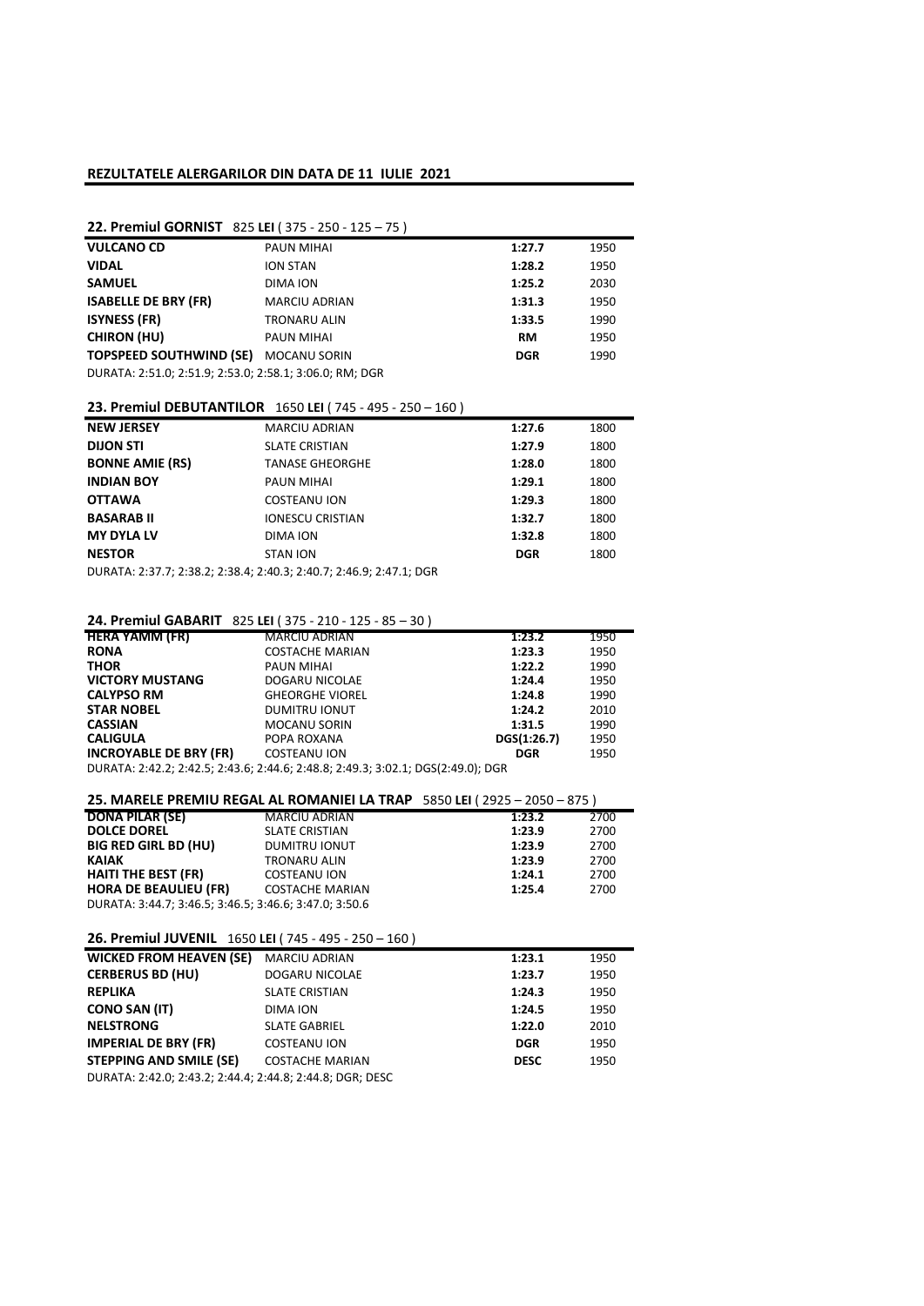### REZULTATELE ALERGARILOR DIN DATA DE 11 IULIE 2021

# 22. Premiul GORNIST 825 LEI ( 375 - 250 - 125 – 75 )

| <b>VULCANO CD</b>                                       | PAUN MIHAI           | 1:27.7     | 1950 |
|---------------------------------------------------------|----------------------|------------|------|
| <b>VIDAL</b>                                            | <b>ION STAN</b>      | 1:28.2     | 1950 |
| <b>SAMUEL</b>                                           | DIMA ION             | 1:25.2     | 2030 |
| <b>ISABELLE DE BRY (FR)</b>                             | <b>MARCIU ADRIAN</b> | 1:31.3     | 1950 |
| <b>ISYNESS (FR)</b>                                     | <b>TRONARU ALIN</b>  | 1:33.5     | 1990 |
| <b>CHIRON (HU)</b>                                      | PAUN MIHAI           | RM         | 1950 |
| <b>TOPSPEED SOUTHWIND (SE)</b>                          | <b>MOCANU SORIN</b>  | <b>DGR</b> | 1990 |
| DURATA: 2:51.0; 2:51.9; 2:53.0; 2:58.1; 3:06.0; RM; DGR |                      |            |      |

# 23. Premiul DEBUTANTILOR 1650 LEI ( 745 - 495 - 250 – 160 )

| <b>NEW JERSEY</b>      | <b>MARCIU ADRIAN</b>    | 1:27.6     | 1800 |
|------------------------|-------------------------|------------|------|
| <b>DIJON STI</b>       | <b>SLATE CRISTIAN</b>   | 1:27.9     | 1800 |
| <b>BONNE AMIE (RS)</b> | <b>TANASE GHEORGHE</b>  | 1:28.0     | 1800 |
| <b>INDIAN BOY</b>      | PAUN MIHAI              | 1:29.1     | 1800 |
| <b>OTTAWA</b>          | COSTEANU ION            | 1:29.3     | 1800 |
| <b>BASARAB II</b>      | <b>IONESCU CRISTIAN</b> | 1:32.7     | 1800 |
| <b>MY DYLA LV</b>      | DIMA ION                | 1:32.8     | 1800 |
| <b>NESTOR</b>          | <b>STAN ION</b>         | <b>DGR</b> | 1800 |
|                        |                         |            |      |

DURATA: 2:37.7; 2:38.2; 2:38.4; 2:40.3; 2:40.7; 2:46.9; 2:47.1; DGR

# 24. Premiul GABARIT 825 LEI ( 375 - 210 - 125 - 85 – 30 )

| <b>HERA YAMM (FR)</b>                                                            | <b>MARCIU ADRIAN</b>   | 1:23.2      | 1950 |
|----------------------------------------------------------------------------------|------------------------|-------------|------|
| <b>RONA</b>                                                                      | <b>COSTACHE MARIAN</b> | 1:23.3      | 1950 |
| <b>THOR</b>                                                                      | PAUN MIHAI             | 1:22.2      | 1990 |
| <b>VICTORY MUSTANG</b>                                                           | DOGARU NICOLAE         | 1:24.4      | 1950 |
| <b>CALYPSO RM</b>                                                                | <b>GHEORGHE VIOREL</b> | 1:24.8      | 1990 |
| <b>STAR NOBEL</b>                                                                | <b>DUMITRU IONUT</b>   | 1:24.2      | 2010 |
| <b>CASSIAN</b>                                                                   | <b>MOCANU SORIN</b>    | 1:31.5      | 1990 |
| <b>CALIGULA</b>                                                                  | POPA ROXANA            | DGS(1:26.7) | 1950 |
| <b>INCROYABLE DE BRY (FR)</b>                                                    | <b>COSTEANU ION</b>    | <b>DGR</b>  | 1950 |
| DURATA: 2:42.2; 2:42.5; 2:43.6; 2:44.6; 2:48.8; 2:49.3; 3:02.1; DGS(2:49.0); DGR |                        |             |      |

| 25. MARELE PREMIU REGAL AL ROMANIEI LA TRAP 5850 LEI (2925 - 2050 - 875) |                        |        |      |
|--------------------------------------------------------------------------|------------------------|--------|------|
| <b>DONA PILAR (SE)</b>                                                   | <b>MARCIU ADRIAN</b>   | 1:23.2 | 2700 |
| <b>DOLCE DOREL</b>                                                       | <b>SLATE CRISTIAN</b>  | 1:23.9 | 2700 |
| <b>BIG RED GIRL BD (HU)</b>                                              | <b>DUMITRU IONUT</b>   | 1:23.9 | 2700 |
| <b>KAIAK</b>                                                             | <b>TRONARU ALIN</b>    | 1:23.9 | 2700 |
| <b>HAITI THE BEST (FR)</b>                                               | <b>COSTEANU ION</b>    | 1:24.1 | 2700 |
| <b>HORA DE BEAULIEU (FR)</b>                                             | <b>COSTACHE MARIAN</b> | 1:25.4 | 2700 |
| DURATA: 3:44.7; 3:46.5; 3:46.5; 3:46.6; 3:47.0; 3:50.6                   |                        |        |      |

### 26. Premiul JUVENIL 1650 LEI ( 745 - 495 - 250 – 160 )

| <b>WICKED FROM HEAVEN (SE)</b>                            | <b>MARCIU ADRIAN</b>   | 1:23.1      | 1950 |
|-----------------------------------------------------------|------------------------|-------------|------|
| <b>CERBERUS BD (HU)</b>                                   | DOGARU NICOLAE         | 1:23.7      | 1950 |
| <b>REPLIKA</b>                                            | <b>SLATE CRISTIAN</b>  | 1:24.3      | 1950 |
| <b>CONO SAN (IT)</b>                                      | DIMA ION               | 1:24.5      | 1950 |
| <b>NELSTRONG</b>                                          | <b>SLATE GABRIEL</b>   | 1:22.0      | 2010 |
| <b>IMPERIAL DE BRY (FR)</b>                               | <b>COSTEANU ION</b>    | <b>DGR</b>  | 1950 |
| STEPPING AND SMILE (SE)                                   | <b>COSTACHE MARIAN</b> | <b>DESC</b> | 1950 |
| DURATA: 2:42.0; 2:43.2; 2:44.4; 2:44.8; 2:44.8; DGR; DESC |                        |             |      |